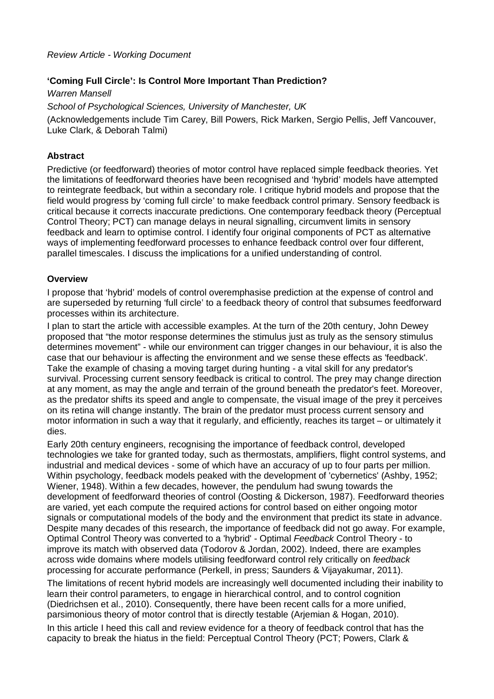# **'Coming Full Circle': Is Control More Important Than Prediction?**

Warren Mansell School of Psychological Sciences, University of Manchester, UK (Acknowledgements include Tim Carey, Bill Powers, Rick Marken, Sergio Pellis, Jeff Vancouver, Luke Clark, & Deborah Talmi)

# **Abstract**

Predictive (or feedforward) theories of motor control have replaced simple feedback theories. Yet the limitations of feedforward theories have been recognised and 'hybrid' models have attempted to reintegrate feedback, but within a secondary role. I critique hybrid models and propose that the field would progress by 'coming full circle' to make feedback control primary. Sensory feedback is critical because it corrects inaccurate predictions. One contemporary feedback theory (Perceptual Control Theory; PCT) can manage delays in neural signalling, circumvent limits in sensory feedback and learn to optimise control. I identify four original components of PCT as alternative ways of implementing feedforward processes to enhance feedback control over four different, parallel timescales. I discuss the implications for a unified understanding of control.

## **Overview**

I propose that 'hybrid' models of control overemphasise prediction at the expense of control and are superseded by returning 'full circle' to a feedback theory of control that subsumes feedforward processes within its architecture.

I plan to start the article with accessible examples. At the turn of the 20th century, John Dewey proposed that "the motor response determines the stimulus just as truly as the sensory stimulus determines movement" - while our environment can trigger changes in our behaviour, it is also the case that our behaviour is affecting the environment and we sense these effects as 'feedback'. Take the example of chasing a moving target during hunting - a vital skill for any predator's survival. Processing current sensory feedback is critical to control. The prey may change direction at any moment, as may the angle and terrain of the ground beneath the predator's feet. Moreover, as the predator shifts its speed and angle to compensate, the visual image of the prey it perceives on its retina will change instantly. The brain of the predator must process current sensory and motor information in such a way that it regularly, and efficiently, reaches its target – or ultimately it dies.

Early 20th century engineers, recognising the importance of feedback control, developed technologies we take for granted today, such as thermostats, amplifiers, flight control systems, and industrial and medical devices - some of which have an accuracy of up to four parts per million. Within psychology, feedback models peaked with the development of 'cybernetics' (Ashby, 1952; Wiener, 1948). Within a few decades, however, the pendulum had swung towards the development of feedforward theories of control (Oosting & Dickerson, 1987). Feedforward theories are varied, yet each compute the required actions for control based on either ongoing motor signals or computational models of the body and the environment that predict its state in advance. Despite many decades of this research, the importance of feedback did not go away. For example, Optimal Control Theory was converted to a 'hybrid' - Optimal Feedback Control Theory - to improve its match with observed data (Todorov & Jordan, 2002). Indeed, there are examples across wide domains where models utilising feedforward control rely critically on feedback processing for accurate performance (Perkell, in press; Saunders & Vijayakumar, 2011).

The limitations of recent hybrid models are increasingly well documented including their inability to learn their control parameters, to engage in hierarchical control, and to control cognition (Diedrichsen et al., 2010). Consequently, there have been recent calls for a more unified, parsimonious theory of motor control that is directly testable (Arjemian & Hogan, 2010).

In this article I heed this call and review evidence for a theory of feedback control that has the capacity to break the hiatus in the field: Perceptual Control Theory (PCT; Powers, Clark &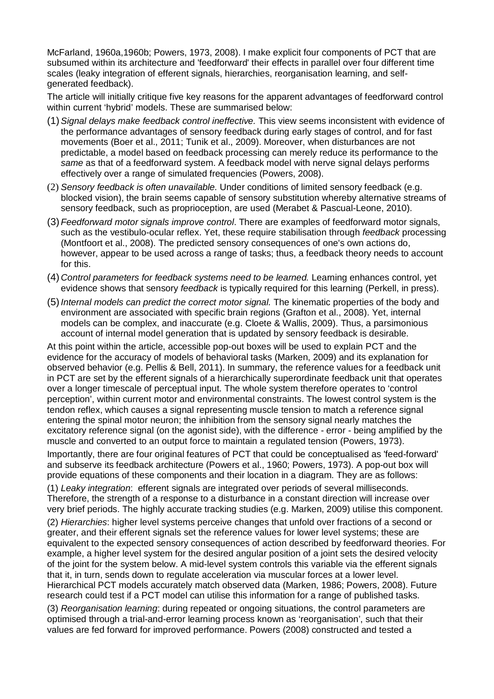McFarland, 1960a,1960b; Powers, 1973, 2008). I make explicit four components of PCT that are subsumed within its architecture and 'feedforward' their effects in parallel over four different time scales (leaky integration of efferent signals, hierarchies, reorganisation learning, and selfgenerated feedback).

The article will initially critique five key reasons for the apparent advantages of feedforward control within current 'hybrid' models. These are summarised below:

- (1)Signal delays make feedback control ineffective. This view seems inconsistent with evidence of the performance advantages of sensory feedback during early stages of control, and for fast movements (Boer et al., 2011; Tunik et al., 2009). Moreover, when disturbances are not predictable, a model based on feedback processing can merely reduce its performance to the same as that of a feedforward system. A feedback model with nerve signal delays performs effectively over a range of simulated frequencies (Powers, 2008).
- (2) Sensory feedback is often unavailable. Under conditions of limited sensory feedback (e.g. blocked vision), the brain seems capable of sensory substitution whereby alternative streams of sensory feedback, such as proprioception, are used (Merabet & Pascual-Leone, 2010).
- (3) Feedforward motor signals improve control. There are examples of feedforward motor signals, such as the vestibulo-ocular reflex. Yet, these require stabilisation through *feedback* processing (Montfoort et al., 2008). The predicted sensory consequences of one's own actions do, however, appear to be used across a range of tasks; thus, a feedback theory needs to account for this.
- (4) Control parameters for feedback systems need to be learned. Learning enhances control, yet evidence shows that sensory *feedback* is typically required for this learning (Perkell, in press).
- (5) Internal models can predict the correct motor signal. The kinematic properties of the body and environment are associated with specific brain regions (Grafton et al., 2008). Yet, internal models can be complex, and inaccurate (e.g. Cloete & Wallis, 2009). Thus, a parsimonious account of internal model generation that is updated by sensory feedback is desirable.

At this point within the article, accessible pop-out boxes will be used to explain PCT and the evidence for the accuracy of models of behavioral tasks (Marken, 2009) and its explanation for observed behavior (e.g. Pellis & Bell, 2011). In summary, the reference values for a feedback unit in PCT are set by the efferent signals of a hierarchically superordinate feedback unit that operates over a longer timescale of perceptual input. The whole system therefore operates to 'control perception', within current motor and environmental constraints. The lowest control system is the tendon reflex, which causes a signal representing muscle tension to match a reference signal entering the spinal motor neuron; the inhibition from the sensory signal nearly matches the excitatory reference signal (on the agonist side), with the difference - error - being amplified by the muscle and converted to an output force to maintain a regulated tension (Powers, 1973).

Importantly, there are four original features of PCT that could be conceptualised as 'feed-forward' and subserve its feedback architecture (Powers et al., 1960; Powers, 1973). A pop-out box will provide equations of these components and their location in a diagram. They are as follows:

(1) Leaky integration: efferent signals are integrated over periods of several milliseconds. Therefore, the strength of a response to a disturbance in a constant direction will increase over very brief periods. The highly accurate tracking studies (e.g. Marken, 2009) utilise this component.

(2) Hierarchies: higher level systems perceive changes that unfold over fractions of a second or greater, and their efferent signals set the reference values for lower level systems; these are equivalent to the expected sensory consequences of action described by feedforward theories. For example, a higher level system for the desired angular position of a joint sets the desired velocity of the joint for the system below. A mid-level system controls this variable via the efferent signals that it, in turn, sends down to regulate acceleration via muscular forces at a lower level. Hierarchical PCT models accurately match observed data (Marken, 1986; Powers, 2008). Future research could test if a PCT model can utilise this information for a range of published tasks.

(3) Reorganisation learning: during repeated or ongoing situations, the control parameters are optimised through a trial-and-error learning process known as 'reorganisation', such that their values are fed forward for improved performance. Powers (2008) constructed and tested a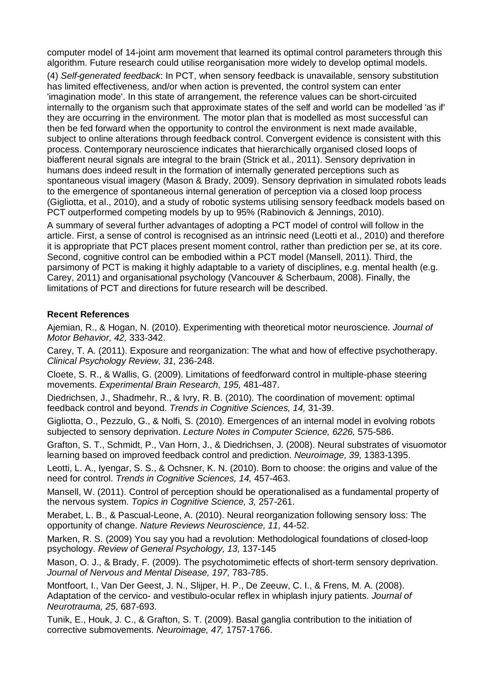computer model of 14-joint arm movement that learned its optimal control parameters through this algorithm. Future research could utilise reorganisation more widely to develop optimal models.

(4) Self-generated feedback: In PCT, when sensory feedback is unavailable, sensory substitution has limited effectiveness, and/or when action is prevented, the control system can enter 'imagination mode'. In this state of arrangement, the reference values can be short-circuited internally to the organism such that approximate states of the self and world can be modelled 'as if' they are occurring in the environment. The motor plan that is modelled as most successful can then be fed forward when the opportunity to control the environment is next made available, subject to online alterations through feedback control. Convergent evidence is consistent with this process. Contemporary neuroscience indicates that hierarchically organised closed loops of biafferent neural signals are integral to the brain (Strick et al., 2011). Sensory deprivation in humans does indeed result in the formation of internally generated perceptions such as spontaneous visual imagery (Mason & Brady, 2009). Sensory deprivation in simulated robots leads to the emergence of spontaneous internal generation of perception via a closed loop process (Gigliotta, et al., 2010), and a study of robotic systems utilising sensory feedback models based on PCT outperformed competing models by up to 95% (Rabinovich & Jennings, 2010).

A summary of several further advantages of adopting a PCT model of control will follow in the article. First, a sense of control is recognised as an intrinsic need (Leotti et al., 2010) and therefore it is appropriate that PCT places present moment control, rather than prediction per se, at its core. Second, cognitive control can be embodied within a PCT model (Mansell, 2011). Third, the parsimony of PCT is making it highly adaptable to a variety of disciplines, e.g. mental health (e.g. Carey, 2011) and organisational psychology (Vancouver & Scherbaum, 2008). Finally, the limitations of PCT and directions for future research will be described.

## **Recent References**

Ajemian, R., & Hogan, N. (2010). Experimenting with theoretical motor neuroscience. Journal of Motor Behavior, 42, 333-342.

Carey, T. A. (2011). Exposure and reorganization: The what and how of effective psychotherapy. Clinical Psychology Review, 31, 236-248.

Cloete, S. R., & Wallis, G. (2009). Limitations of feedforward control in multiple-phase steering movements. Experimental Brain Research, 195, 481-487.

Diedrichsen, J., Shadmehr, R., & Ivry, R. B. (2010). The coordination of movement: optimal feedback control and beyond. Trends in Cognitive Sciences, 14, 31-39.

Gigliotta, O., Pezzulo, G., & Nolfi, S. (2010). Emergences of an internal model in evolving robots subjected to sensory deprivation. Lecture Notes in Computer Science, 6226, 575-586.

Grafton, S. T., Schmidt, P., Van Horn, J., & Diedrichsen, J. (2008). Neural substrates of visuomotor learning based on improved feedback control and prediction. Neuroimage, 39, 1383-1395.

Leotti, L. A., Iyengar, S. S., & Ochsner, K. N. (2010). Born to choose: the origins and value of the need for control. Trends in Cognitive Sciences, 14, 457-463.

Mansell, W. (2011). Control of perception should be operationalised as a fundamental property of the nervous system. Topics in Cognitive Science, 3, 257-261.

Merabet, L. B., & Pascual-Leone, A. (2010). Neural reorganization following sensory loss: The opportunity of change. Nature Reviews Neuroscience, 11, 44-52.

Marken, R. S. (2009) You say you had a revolution: Methodological foundations of closed-loop psychology. Review of General Psychology, 13, 137-145

Mason, O. J., & Brady, F. (2009). The psychotomimetic effects of short-term sensory deprivation. Journal of Nervous and Mental Disease, 197, 783-785.

Montfoort, I., Van Der Geest, J. N., Slijper, H. P., De Zeeuw, C. I., & Frens, M. A. (2008). Adaptation of the cervico- and vestibulo-ocular reflex in whiplash injury patients. Journal of Neurotrauma, 25, 687-693.

Tunik, E., Houk, J. C., & Grafton, S. T. (2009). Basal ganglia contribution to the initiation of corrective submovements. Neuroimage, 47, 1757-1766.